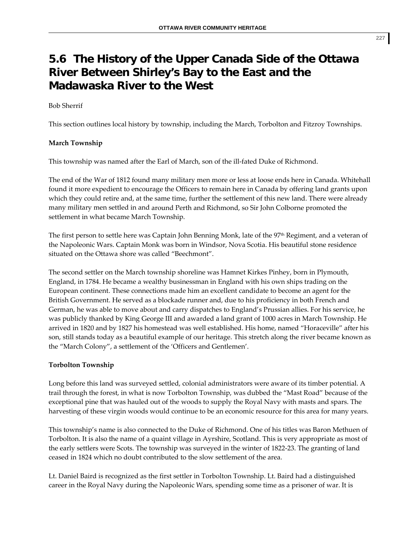# **5.6 The History of the Upper Canada Side of the Ottawa River Between Shirley's Bay to the East and the Madawaska River to the West**

## Bob Sherrif

This section outlines local history by township, including the March, Torbolton and Fitzroy Townships.

## **March Township**

This township was named after the Earl of March, son of the ill‐fated Duke of Richmond.

The end of the War of 1812 found many military men more or less at loose ends here in Canada. Whitehall found it more expedient to encourage the Officers to remain here in Canada by offering land grants upon which they could retire and, at the same time, further the settlement of this new land. There were already many military men settled in and around Perth and Richmond, so Sir John Colborne promoted the settlement in what became March Township.

The first person to settle here was Captain John Benning Monk, late of the 97<sup>th</sup> Regiment, and a veteran of the Napoleonic Wars. Captain Monk was born in Windsor, Nova Scotia. His beautiful stone residence situated on the Ottawa shore was called "Beechmont".

The second settler on the March township shoreline was Hamnet Kirkes Pinhey, born in Plymouth, England, in 1784. He became a wealthy businessman in England with his own ships trading on the European continent. These connections made him an excellent candidate to become an agent for the British Government. He served as a blockade runner and, due to his proficiency in both French and German, he was able to move about and carry dispatches to England's Prussian allies. For his service, he was publicly thanked by King George III and awarded a land grant of 1000 acres in March Township. He arrived in 1820 and by 1827 his homestead was well established. His home, named "Horaceville" after his son, still stands today as a beautiful example of our heritage. This stretch along the river became known as the "March Colony", a settlement of the 'Officers and Gentlemen'.

## **Torbolton Township**

Long before this land was surveyed settled, colonial administrators were aware of its timber potential. A trail through the forest, in what is now Torbolton Township, was dubbed the "Mast Road" because of the exceptional pine that was hauled out of the woods to supply the Royal Navy with masts and spars. The harvesting of these virgin woods would continue to be an economic resource for this area for many years.

This township's name is also connected to the Duke of Richmond. One of his titles was Baron Methuen of Torbolton. It is also the name of a quaint village in Ayrshire, Scotland. This is very appropriate as most of the early settlers were Scots. The township was surveyed in the winter of 1822‐23. The granting of land ceased in 1824 which no doubt contributed to the slow settlement of the area.

Lt. Daniel Baird is recognized as the first settler in Torbolton Township. Lt. Baird had a distinguished career in the Royal Navy during the Napoleonic Wars, spending some time as a prisoner of war. It is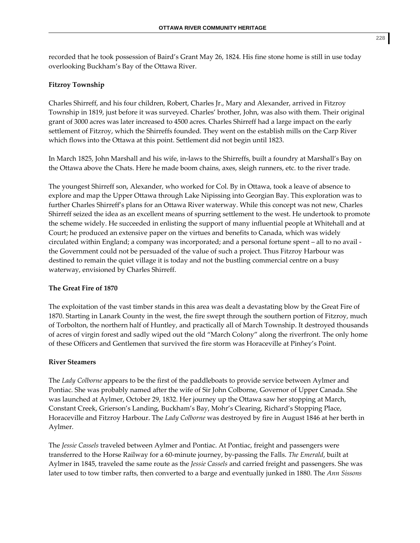recorded that he took possession of Baird's Grant May 26, 1824. His fine stone home is still in use today

#### **Fitzroy Township**

overlooking Buckham's Bay of the Ottawa River.

Charles Shirreff, and his four children, Robert, Charles Jr., Mary and Alexander, arrived in Fitzroy Township in 1819, just before it was surveyed. Charles' brother, John, was also with them. Their original grant of 3000 acres was later increased to 4500 acres. Charles Shirreff had a large impact on the early settlement of Fitzroy, which the Shirreffs founded. They went on the establish mills on the Carp River which flows into the Ottawa at this point. Settlement did not begin until 1823.

In March 1825, John Marshall and his wife, in‐laws to the Shirreffs, built a foundry at Marshall's Bay on the Ottawa above the Chats. Here he made boom chains, axes, sleigh runners, etc. to the river trade.

The youngest Shirreff son, Alexander, who worked for Col. By in Ottawa, took a leave of absence to explore and map the Upper Ottawa through Lake Nipissing into Georgian Bay. This exploration was to further Charles Shirreff's plans for an Ottawa River waterway. While this concept was not new, Charles Shirreff seized the idea as an excellent means of spurring settlement to the west. He undertook to promote the scheme widely. He succeeded in enlisting the support of many influential people at Whitehall and at Court; he produced an extensive paper on the virtues and benefits to Canada, which was widely circulated within England; a company was incorporated; and a personal fortune spent – all to no avail ‐ the Government could not be persuaded of the value of such a project. Thus Fitzroy Harbour was destined to remain the quiet village it is today and not the bustling commercial centre on a busy waterway, envisioned by Charles Shirreff.

#### **The Great Fire of 1870**

The exploitation of the vast timber stands in this area was dealt a devastating blow by the Great Fire of 1870. Starting in Lanark County in the west, the fire swept through the southern portion of Fitzroy, much of Torbolton, the northern half of Huntley, and practically all of March Township. It destroyed thousands of acres of virgin forest and sadly wiped out the old "March Colony" along the riverfront. The only home of these Officers and Gentlemen that survived the fire storm was Horaceville at Pinhey's Point.

#### **River Steamers**

The *Lady Colborne* appears to be the first of the paddleboats to provide service between Aylmer and Pontiac. She was probably named after the wife of Sir John Colborne, Governor of Upper Canada. She was launched at Aylmer, October 29, 1832. Her journey up the Ottawa saw her stopping at March, Constant Creek, Grierson's Landing, Buckham's Bay, Mohr's Clearing, Richard's Stopping Place, Horaceville and Fitzroy Harbour. The *Lady Colborne* was destroyed by fire in August 1846 at her berth in Aylmer.

The *Jessie Cassels* traveled between Aylmer and Pontiac. At Pontiac, freight and passengers were transferred to the Horse Railway for a 60‐minute journey, by‐passing the Falls. *The Emerald*, built at Aylmer in 1845, traveled the same route as the *Jessie Cassels* and carried freight and passengers. She was later used to tow timber rafts, then converted to a barge and eventually junked in 1880. The *Ann Sissons*